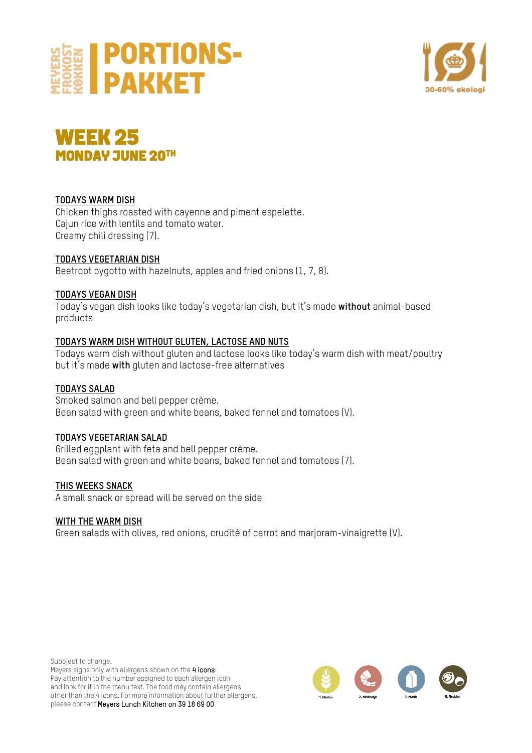





Chicken thighs roasted with cayenne and piment espelette. Cajun rice with lentils and tomato water. Creamy chili dressing (7).

#### **TODAYS VEGETARIAN DISH**

Beetroot bygotto with hazelnuts, apples and fried onions (1, 7, 8).

#### **TODAYS VEGAN DISH**

Today's vegan dish looks like today's vegetarian dish, but it's made **without** animal-based products

#### **TODAYS WARM DISH WITHOUT GLUTEN, LACTOSE AND NUTS**

Todays warm dish without gluten and lactose looks like today's warm dish with meat/poultry but it's made **with** gluten and lactose-free alternatives

#### **TODAYS SALAD**

Smoked salmon and bell pepper crème. Bean salad with green and white beans, baked fennel and tomatoes (V).

#### **TODAYS VEGETARIAN SALAD**

Grilled eggplant with feta and bell pepper crème. Bean salad with green and white beans, baked fennel and tomatoes (7).

#### **THIS WEEKS SNACK**

A small snack or spread will be served on the side

#### **WITH THE WARM DISH**

Green salads with olives, red onions, crudité of carrot and marjoram-vinaigrette (V).

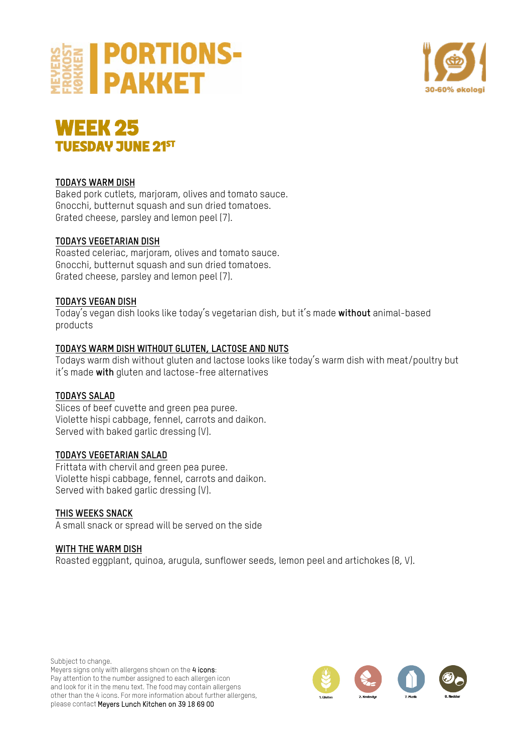





Baked pork cutlets, marjoram, olives and tomato sauce. Gnocchi, butternut squash and sun dried tomatoes. Grated cheese, parsley and lemon peel (7).

# **TODAYS VEGETARIAN DISH**

Roasted celeriac, marjoram, olives and tomato sauce. Gnocchi, butternut squash and sun dried tomatoes. Grated cheese, parsley and lemon peel (7).

#### **TODAYS VEGAN DISH**

Today's vegan dish looks like today's vegetarian dish, but it's made **without** animal-based products

# **TODAYS WARM DISH WITHOUT GLUTEN, LACTOSE AND NUTS**

Todays warm dish without gluten and lactose looks like today's warm dish with meat/poultry but it's made **with** gluten and lactose-free alternatives

# **TODAYS SALAD**

Slices of beef cuvette and green pea puree. Violette hispi cabbage, fennel, carrots and daikon. Served with baked garlic dressing (V).

# **TODAYS VEGETARIAN SALAD**

Frittata with chervil and green pea puree. Violette hispi cabbage, fennel, carrots and daikon. Served with baked garlic dressing (V).

#### **THIS WEEKS SNACK**

A small snack or spread will be served on the side

#### **WITH THE WARM DISH**

Roasted eggplant, quinoa, arugula, sunflower seeds, lemon peel and artichokes (8, V).

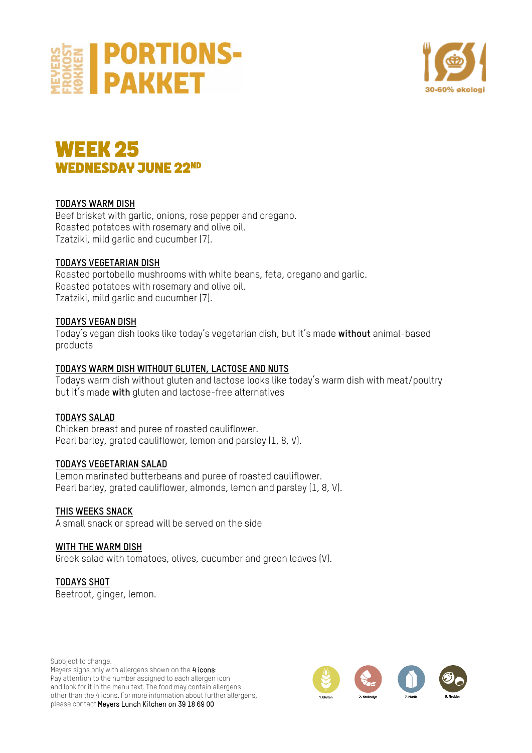



# **WEEK 25<br>WEDNESDAY JUNE 22<sup>ND</sup>**

# **TODAYS WARM DISH**

Beef brisket with garlic, onions, rose pepper and oregano. Roasted potatoes with rosemary and olive oil. Tzatziki, mild garlic and cucumber (7).

# **TODAYS VEGETARIAN DISH**

Roasted portobello mushrooms with white beans, feta, oregano and garlic. Roasted potatoes with rosemary and olive oil. Tzatziki, mild garlic and cucumber (7).

#### **TODAYS VEGAN DISH**

Today's vegan dish looks like today's vegetarian dish, but it's made **without** animal-based products

# **TODAYS WARM DISH WITHOUT GLUTEN, LACTOSE AND NUTS**

Todays warm dish without gluten and lactose looks like today's warm dish with meat/poultry but it's made **with** gluten and lactose-free alternatives

# **TODAYS SALAD**

Chicken breast and puree of roasted cauliflower. Pearl barley, grated cauliflower, lemon and parsley (1, 8, V).

#### **TODAYS VEGETARIAN SALAD**

Lemon marinated butterbeans and puree of roasted cauliflower. Pearl barley, grated cauliflower, almonds, lemon and parsley (1, 8, V).

#### **THIS WEEKS SNACK**

A small snack or spread will be served on the side

#### **WITH THE WARM DISH**

Greek salad with tomatoes, olives, cucumber and green leaves (V).

# **TODAYS SHOT**

Beetroot, ginger, lemon.

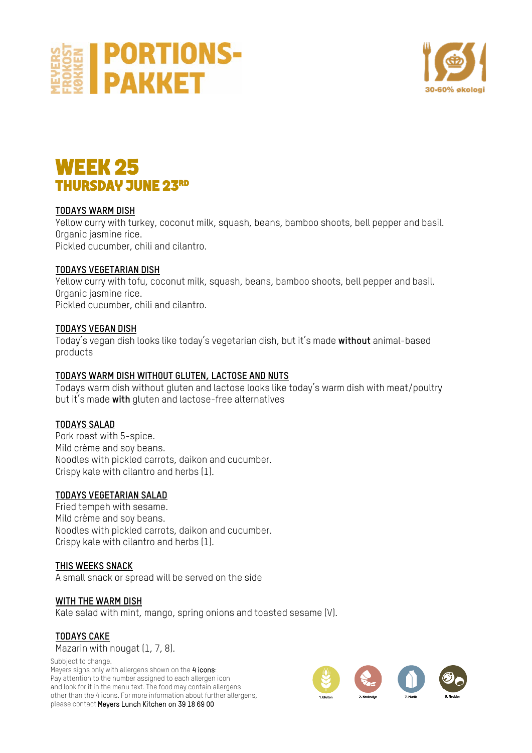





Yellow curry with turkey, coconut milk, squash, beans, bamboo shoots, bell pepper and basil. Organic jasmine rice. Pickled cucumber, chili and cilantro.

# **TODAYS VEGETARIAN DISH**

Yellow curry with tofu, coconut milk, squash, beans, bamboo shoots, bell pepper and basil. Organic jasmine rice. Pickled cucumber, chili and cilantro.

# **TODAYS VEGAN DISH**

Today's vegan dish looks like today's vegetarian dish, but it's made **without** animal-based products

# **TODAYS WARM DISH WITHOUT GLUTEN, LACTOSE AND NUTS**

Todays warm dish without gluten and lactose looks like today's warm dish with meat/poultry but it's made **with** gluten and lactose-free alternatives

# **TODAYS SALAD**

Pork roast with 5-spice. Mild crème and soy beans. Noodles with pickled carrots, daikon and cucumber. Crispy kale with cilantro and herbs (1).

# **TODAYS VEGETARIAN SALAD**

Fried tempeh with sesame. Mild crème and soy beans. Noodles with pickled carrots, daikon and cucumber. Crispy kale with cilantro and herbs (1).

# **THIS WEEKS SNACK**

A small snack or spread will be served on the side

# **WITH THE WARM DISH**

Kale salad with mint, mango, spring onions and toasted sesame (V).

# **TODAYS CAKE**

Mazarin with nougat (1, 7, 8).

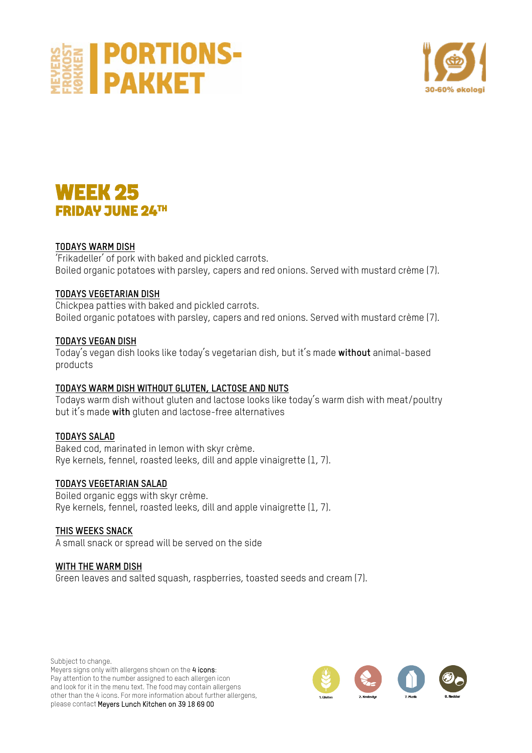





'Frikadeller' of pork with baked and pickled carrots. Boiled organic potatoes with parsley, capers and red onions. Served with mustard crème (7).

# **TODAYS VEGETARIAN DISH**

Chickpea patties with baked and pickled carrots. Boiled organic potatoes with parsley, capers and red onions. Served with mustard crème (7).

#### **TODAYS VEGAN DISH**

Today's vegan dish looks like today's vegetarian dish, but it's made **without** animal-based products

# **TODAYS WARM DISH WITHOUT GLUTEN, LACTOSE AND NUTS**

Todays warm dish without gluten and lactose looks like today's warm dish with meat/poultry but it's made **with** gluten and lactose-free alternatives

# **TODAYS SALAD**

Baked cod, marinated in lemon with skyr crème. Rye kernels, fennel, roasted leeks, dill and apple vinaigrette (1, 7).

# **TODAYS VEGETARIAN SALAD**

Boiled organic eggs with skyr crème. Rye kernels, fennel, roasted leeks, dill and apple vinaigrette (1, 7).

# **THIS WEEKS SNACK**

A small snack or spread will be served on the side

#### **WITH THE WARM DISH**

Green leaves and salted squash, raspberries, toasted seeds and cream (7).